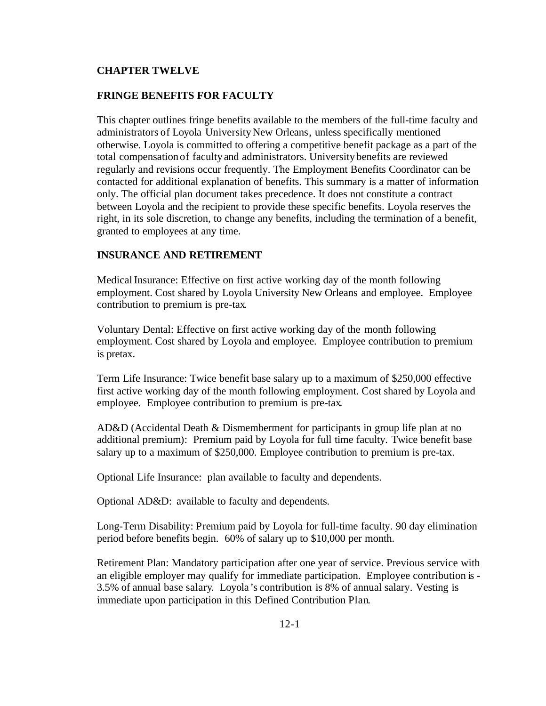## **CHAPTER TWELVE**

## **FRINGE BENEFITS FOR FACULTY**

This chapter outlines fringe benefits available to the members of the full-time faculty and administrators of Loyola University New Orleans, unless specifically mentioned otherwise. Loyola is committed to offering a competitive benefit package as a part of the total compensationof faculty and administrators. University benefits are reviewed regularly and revisions occur frequently. The Employment Benefits Coordinator can be contacted for additional explanation of benefits. This summary is a matter of information only. The official plan document takes precedence. It does not constitute a contract between Loyola and the recipient to provide these specific benefits. Loyola reserves the right, in its sole discretion, to change any benefits, including the termination of a benefit, granted to employees at any time.

## **INSURANCE AND RETIREMENT**

Medical Insurance: Effective on first active working day of the month following employment. Cost shared by Loyola University New Orleans and employee. Employee contribution to premium is pre-tax.

Voluntary Dental: Effective on first active working day of the month following employment. Cost shared by Loyola and employee. Employee contribution to premium is pretax.

Term Life Insurance: Twice benefit base salary up to a maximum of \$250,000 effective first active working day of the month following employment. Cost shared by Loyola and employee. Employee contribution to premium is pre-tax.

AD&D (Accidental Death & Dismemberment for participants in group life plan at no additional premium): Premium paid by Loyola for full time faculty. Twice benefit base salary up to a maximum of \$250,000. Employee contribution to premium is pre-tax.

Optional Life Insurance: plan available to faculty and dependents.

Optional AD&D:available to faculty and dependents.

Long-Term Disability: Premium paid by Loyola for full-time faculty. 90 day elimination period before benefits begin. 60% of salary up to \$10,000 per month.

Retirement Plan: Mandatory participation after one year of service. Previous service with an eligible employer may qualify for immediate participation. Employee contribution is - 3.5% of annual base salary. Loyola's contribution is 8% of annual salary. Vesting is immediate upon participation in this Defined Contribution Plan.